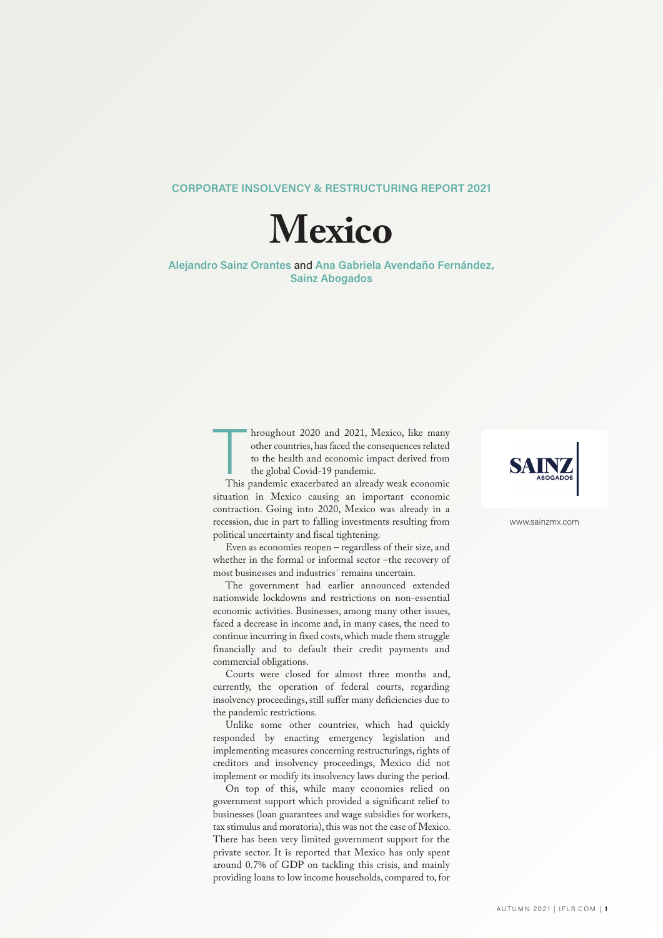## **CORPORATE INSOLVENCY & RESTRUCTURING REPORT 2021**



**Alejandro Sainz Orantes** and **Ana Gabriela Avendaño Fernández, Sainz Abogados**

> hroughout 2020 and 2021, Mexico, like many other countries, has faced the consequences related to the health and economic impact derived from the global Covid-19 pandemic.<br>This pandemic exacerbated an already weak economic hroughout 2020 and 2021, Mexico, like many other countries, has faced the consequences related to the health and economic impact derived from the global Covid-19 pandemic.

> situation in Mexico causing an important economic contraction. Going into 2020, Mexico was already in a recession, due in part to falling investments resulting from political uncertainty and fiscal tightening.

> Even as economies reopen – regardless of their size, and whether in the formal or informal sector –the recovery of most businesses and industries´ remains uncertain.

> The government had earlier announced extended nationwide lockdowns and restrictions on non-essential economic activities. Businesses, among many other issues, faced a decrease in income and, in many cases, the need to continue incurring in fixed costs,which made them struggle financially and to default their credit payments and commercial obligations.

> Courts were closed for almost three months and, currently, the operation of federal courts, regarding insolvency proceedings, still suffer many deficiencies due to the pandemic restrictions.

> Unlike some other countries, which had quickly responded by enacting emergency legislation and implementing measures concerning restructurings, rights of creditors and insolvency proceedings, Mexico did not implement or modify its insolvency laws during the period.

> On top of this, while many economies relied on government support which provided a significant relief to businesses (loan guarantees and wage subsidies for workers, tax stimulus and moratoria), this was not the case of Mexico. There has been very limited government support for the private sector. It is reported that Mexico has only spent around 0.7% of GDP on tackling this crisis, and mainly providing loans to low income households, compared to,for



www.sainzmx.com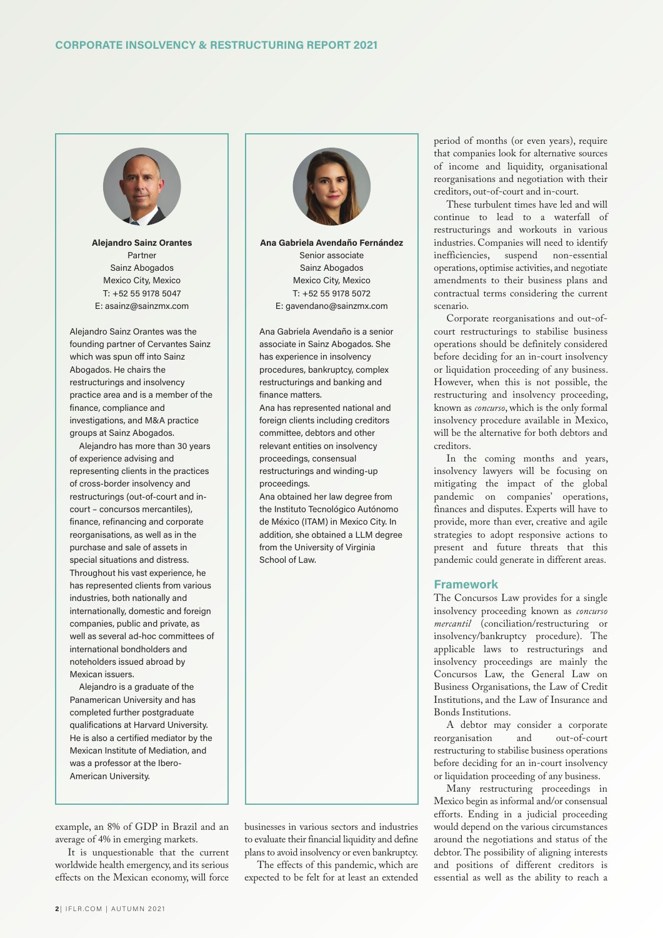

**Alejandro Sainz Orantes** Partner Sainz Abogados Mexico City, Mexico T: +52 55 9178 5047 E: asainz@sainzmx.com

Alejandro Sainz Orantes was the founding partner of Cervantes Sainz which was spun off into Sainz Abogados. He chairs the restructurings and insolvency practice area and is a member of the finance, compliance and investigations, and M&A practice groups at Sainz Abogados.

Alejandro has more than 30 years of experience advising and representing clients in the practices of cross-border insolvency and restructurings (out-of-court and incourt – concursos mercantiles), finance, refinancing and corporate reorganisations, as well as in the purchase and sale of assets in special situations and distress. Throughout his vast experience, he has represented clients from various industries, both nationally and internationally, domestic and foreign companies, public and private, as well as several ad-hoc committees of international bondholders and noteholders issued abroad by Mexican issuers.

Alejandro is a graduate of the Panamerican University and has completed further postgraduate qualifications at Harvard University. He is also a certified mediator by the Mexican Institute of Mediation, and was a professor at the Ibero-American University.

example, an 8% of GDP in Brazil and an average of 4% in emerging markets.

It is unquestionable that the current worldwide health emergency, and its serious effects on the Mexican economy, will force



**Ana Gabriela Avendaño Fernández** Senior associate Sainz Abogados Mexico City, Mexico T: +52 55 9178 5072 E: gavendano@sainzmx.com

Ana Gabriela Avendaño is a senior associate in Sainz Abogados. She has experience in insolvency procedures, bankruptcy, complex restructurings and banking and finance matters.

Ana has represented national and foreign clients including creditors committee, debtors and other relevant entities on insolvency proceedings, consensual restructurings and winding-up proceedings.

Ana obtained her law degree from the Instituto Tecnológico Autónomo de México (ITAM) in Mexico City. In addition, she obtained a LLM degree from the University of Virginia School of Law.



businesses in various sectors and industries to evaluate their financial liquidity and define plans to avoid insolvency or even bankruptcy.

The effects of this pandemic, which are expected to be felt for at least an extended period of months (or even years), require that companies look for alternative sources of income and liquidity, organisational reorganisations and negotiation with their creditors, out-of-court and in-court.

These turbulent times have led and will continue to lead to a waterfall of restructurings and workouts in various industries. Companies will need to identify inefficiencies, suspend non-essential operations, optimise activities, and negotiate amendments to their business plans and contractual terms considering the current scenario.

Corporate reorganisations and out-ofcourt restructurings to stabilise business operations should be definitely considered before deciding for an in-court insolvency or liquidation proceeding of any business. However, when this is not possible, the restructuring and insolvency proceeding, known as *concurso*, which is the only formal insolvency procedure available in Mexico, will be the alternative for both debtors and creditors.

In the coming months and years, insolvency lawyers will be focusing on mitigating the impact of the global pandemic on companies' operations, finances and disputes. Experts will have to provide, more than ever, creative and agile strategies to adopt responsive actions to present and future threats that this pandemic could generate in different areas.

# **Framework**

The Concursos Law provides for a single insolvency proceeding known as *concurso mercantil* (conciliation/restructuring or insolvency/bankruptcy procedure). The applicable laws to restructurings and insolvency proceedings are mainly the Concursos Law, the General Law on Business Organisations, the Law of Credit Institutions, and the Law of Insurance and Bonds Institutions.

A debtor may consider a corporate reorganisation and out-of-court restructuring to stabilise business operations before deciding for an in-court insolvency or liquidation proceeding of any business.

Many restructuring proceedings in Mexico begin as informal and/or consensual efforts. Ending in a judicial proceeding would depend on the various circumstances around the negotiations and status of the debtor. The possibility of aligning interests and positions of different creditors is essential as well as the ability to reach a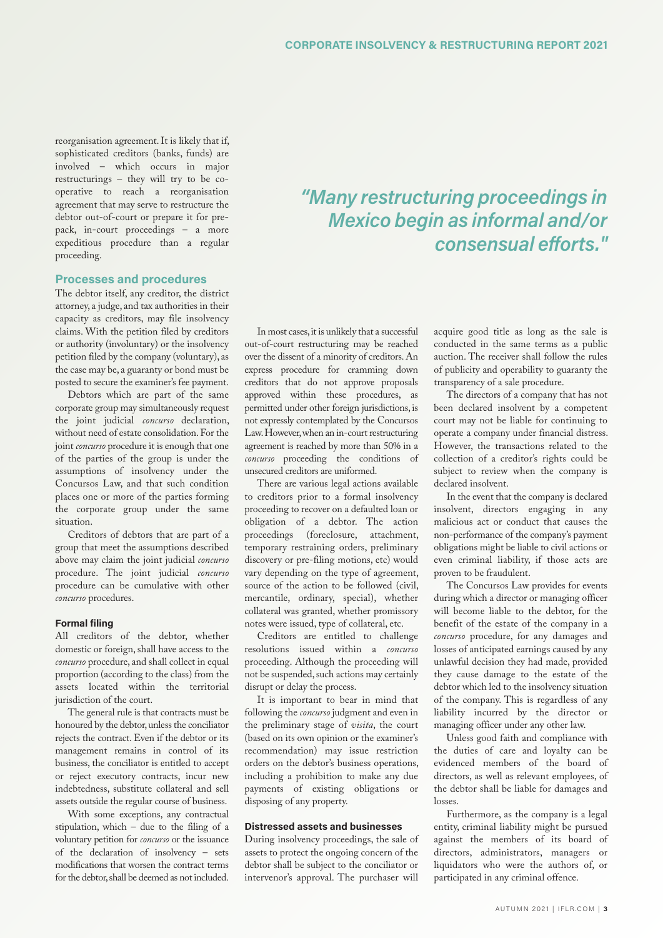reorganisation agreement.It is likely that if, sophisticated creditors (banks, funds) are involved – which occurs in major restructurings – they will try to be cooperative to reach a reorganisation agreement that may serve to restructure the debtor out-of-court or prepare it for prepack, in-court proceedings – a more expeditious procedure than a regular proceeding.

### **Processes and procedures**

The debtor itself, any creditor, the district attorney, a judge, and tax authorities in their capacity as creditors, may file insolvency claims. With the petition filed by creditors or authority (involuntary) or the insolvency petition filed by the company (voluntary), as the case may be, a guaranty or bond must be posted to secure the examiner's fee payment.

Debtors which are part of the same corporate group may simultaneously request the joint judicial *concurso* declaration, without need of estate consolidation.For the joint *concurso* procedure it is enough that one of the parties of the group is under the assumptions of insolvency under the Concursos Law, and that such condition places one or more of the parties forming the corporate group under the same situation.

Creditors of debtors that are part of a group that meet the assumptions described above may claim the joint judicial *concurso* procedure. The joint judicial *concurso* procedure can be cumulative with other *concurso* procedures.

#### **Formal filing**

All creditors of the debtor, whether domestic or foreign, shall have access to the *concurso* procedure, and shall collect in equal proportion (according to the class) from the assets located within the territorial jurisdiction of the court.

The general rule is that contracts must be honoured by the debtor, unless the conciliator rejects the contract. Even if the debtor or its management remains in control of its business, the conciliator is entitled to accept or reject executory contracts, incur new indebtedness, substitute collateral and sell assets outside the regular course of business.

With some exceptions, any contractual stipulation, which – due to the filing of a voluntary petition for *concurso* or the issuance of the declaration of insolvency – sets modifications that worsen the contract terms for the debtor, shall be deemed as not included.

In most cases, it is unlikely that a successful out-of-court restructuring may be reached over the dissent of a minority of creditors.An express procedure for cramming down creditors that do not approve proposals approved within these procedures, as permitted under other foreign jurisdictions, is not expressly contemplated by the Concursos Law.However,when an in-court restructuring agreement is reached by more than 50% in a *concurso* proceeding the conditions of unsecured creditors are uniformed.

There are various legal actions available to creditors prior to a formal insolvency proceeding to recover on a defaulted loan or obligation of a debtor. The action proceedings (foreclosure, attachment, temporary restraining orders, preliminary discovery or pre-filing motions, etc) would vary depending on the type of agreement, source of the action to be followed (civil, mercantile, ordinary, special), whether collateral was granted, whether promissory notes were issued, type of collateral, etc.

Creditors are entitled to challenge resolutions issued within a *concurso* proceeding. Although the proceeding will not be suspended, such actions may certainly disrupt or delay the process.

It is important to bear in mind that following the *concurso*judgment and even in the preliminary stage of *visita*, the court (based on its own opinion or the examiner's recommendation) may issue restriction orders on the debtor's business operations, including a prohibition to make any due payments of existing obligations or disposing of any property.

#### **Distressed assets and businesses**

During insolvency proceedings, the sale of assets to protect the ongoing concern of the debtor shall be subject to the conciliator or intervenor's approval. The purchaser will

# *"Many restructuring proceedings in Mexico begin as informal and/or consensual efforts."*

acquire good title as long as the sale is conducted in the same terms as a public auction. The receiver shall follow the rules of publicity and operability to guaranty the transparency of a sale procedure.

The directors of a company that has not been declared insolvent by a competent court may not be liable for continuing to operate a company under financial distress. However, the transactions related to the collection of a creditor's rights could be subject to review when the company is declared insolvent.

In the event that the company is declared insolvent, directors engaging in any malicious act or conduct that causes the non-performance of the company's payment obligations might be liable to civil actions or even criminal liability, if those acts are proven to be fraudulent.

The Concursos Law provides for events during which a director or managing officer will become liable to the debtor, for the benefit of the estate of the company in a *concurso* procedure, for any damages and losses of anticipated earnings caused by any unlawful decision they had made, provided they cause damage to the estate of the debtor which led to the insolvency situation of the company. This is regardless of any liability incurred by the director or managing officer under any other law.

Unless good faith and compliance with the duties of care and loyalty can be evidenced members of the board of directors, as well as relevant employees, of the debtor shall be liable for damages and losses.

Furthermore, as the company is a legal entity, criminal liability might be pursued against the members of its board of directors, administrators, managers or liquidators who were the authors of, or participated in any criminal offence.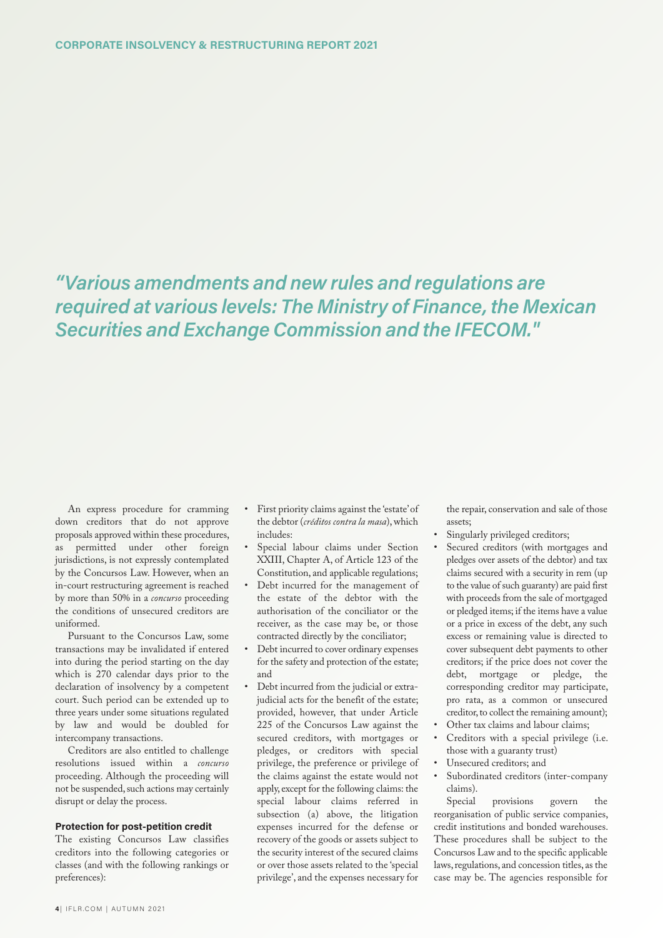*"Various amendments and new rules and regulations are required at various levels: The Ministry of Finance, the Mexican Securities and Exchange Commission and the IFECOM."*

An express procedure for cramming down creditors that do not approve proposals approved within these procedures, as permitted under other foreign jurisdictions, is not expressly contemplated by the Concursos Law. However, when an in-court restructuring agreement is reached by more than 50% in a *concurso* proceeding the conditions of unsecured creditors are uniformed.

Pursuant to the Concursos Law, some transactions may be invalidated if entered into during the period starting on the day which is 270 calendar days prior to the declaration of insolvency by a competent court. Such period can be extended up to three years under some situations regulated by law and would be doubled for intercompany transactions.

Creditors are also entitled to challenge resolutions issued within a *concurso* proceeding. Although the proceeding will not be suspended, such actions may certainly disrupt or delay the process.

#### **Protection for post-petition credit**

The existing Concursos Law classifies creditors into the following categories or classes (and with the following rankings or preferences):

- First priority claims against the 'estate'of the debtor (*créditos contra la masa*),which includes:
- Special labour claims under Section XXIII, Chapter A, of Article 123 of the Constitution, and applicable regulations;
- Debt incurred for the management of the estate of the debtor with the authorisation of the conciliator or the receiver, as the case may be, or those contracted directly by the conciliator;
- Debt incurred to cover ordinary expenses for the safety and protection of the estate; and
- Debt incurred from the judicial or extrajudicial acts for the benefit of the estate; provided, however, that under Article 225 of the Concursos Law against the secured creditors, with mortgages or pledges, or creditors with special privilege, the preference or privilege of the claims against the estate would not apply, except for the following claims: the special labour claims referred in subsection (a) above, the litigation expenses incurred for the defense or recovery of the goods or assets subject to the security interest of the secured claims or over those assets related to the 'special privilege', and the expenses necessary for

the repair, conservation and sale of those assets;

- Singularly privileged creditors;
- Secured creditors (with mortgages and pledges over assets of the debtor) and tax claims secured with a security in rem (up to the value of such guaranty) are paid first with proceeds from the sale of mortgaged or pledged items; if the items have a value or a price in excess of the debt, any such excess or remaining value is directed to cover subsequent debt payments to other creditors; if the price does not cover the debt, mortgage or pledge, the corresponding creditor may participate, pro rata, as a common or unsecured creditor, to collect the remaining amount);
- Other tax claims and labour claims;
- Creditors with a special privilege (i.e. those with a guaranty trust)
- Unsecured creditors; and
- Subordinated creditors (inter-company claims).

Special provisions govern the reorganisation of public service companies, credit institutions and bonded warehouses. These procedures shall be subject to the Concursos Law and to the specific applicable laws, regulations, and concession titles, as the case may be. The agencies responsible for